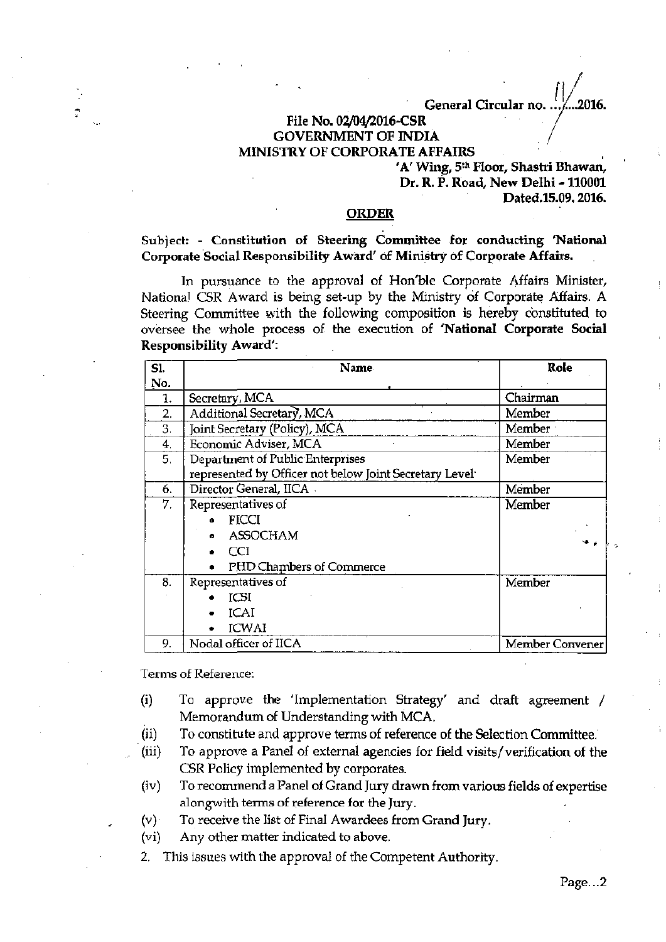**General Circular no.**  2016.

## **File No. 02/04/2016-CSR GOVERNMENT OF INDIA MINISTRY OF CORPORATE AFFAIRS**

**'A' Wing, 5th Floor, Shastri Bhawan, Dr. R. P. Road, New Delhi -110001 Dated.15.09.2016.** 

## **ORDER**

**Subject: - Constitution of Steering Committee for conducting 'National Corporate Social Responsibility Award' of Ministry of Corporate Affairs.** 

In pursuance to the approval of Hon'ble Corporate Affairs Minister, National CSR Award is being set-up by the Ministry of Corporate Affairs. A Steering Committee with the following composition is hereby constituted to oversee the whole process of the execution of **'National Corporate Social Responsibility Award':** 

| SI. | <b>Name</b>                                                         | Role            |
|-----|---------------------------------------------------------------------|-----------------|
| No. |                                                                     |                 |
| 1.  | Secretary, MCA                                                      | Chairman        |
| 2.  | Additional Secretary, MCA                                           | Member          |
| 3.  | Joint Secretary (Policy), MCA                                       | Member          |
| 4.  | Economic Adviser, MCA                                               | Member          |
| 5.  | Department of Public Enterprises                                    | Member          |
|     | represented by Officer not below Joint Secretary Level <sup>-</sup> |                 |
| 6.  | Director General, IICA -                                            | Member          |
| 7.  | Representatives of                                                  | Member          |
|     | <b>FICCI</b>                                                        |                 |
|     | ASSOCHAM<br>o.                                                      |                 |
|     | CCI                                                                 |                 |
|     | PHD Chambers of Commerce                                            |                 |
| 8.  | Representatives of                                                  | Member          |
|     | <b>ICSI</b>                                                         |                 |
|     | ICAI                                                                |                 |
|     | <b>ICWAI</b>                                                        |                 |
| 9.  | Nodal officer of IICA                                               | Member Convener |

Terms of Reference:

- **(i)** To approve the 'Implementation Strategy' and draft agreement / Memorandum of Understanding with MCA.
- (ii) To constitute and approve terms of reference of the Selection Committee.
- (iii) To approve a Panel of external agencies for field visits/verification of the CSR Policy implemented by corporates.
- (iv) To recommend a Panel of Grand Jury drawn from various fields of expertise alongwith terms of reference for the Jury.
- (v) To receive the list of Final Awardees from Grand Jury.
- (vi) Any other matter indicated to above.
- 2. This issues with the approval of the Competent Authority.